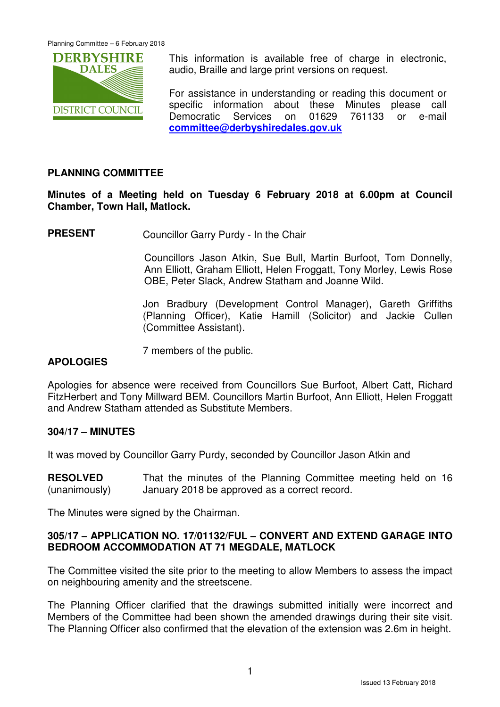

This information is available free of charge in electronic, audio, Braille and large print versions on request.

For assistance in understanding or reading this document or specific information about these Minutes please call Democratic Services on 01629 761133 or e-mail **committee@derbyshiredales.gov.uk**

## **PLANNING COMMITTEE**

**Minutes of a Meeting held on Tuesday 6 February 2018 at 6.00pm at Council Chamber, Town Hall, Matlock.** 

**PRESENT** Councillor Garry Purdy - In the Chair

 Councillors Jason Atkin, Sue Bull, Martin Burfoot, Tom Donnelly, Ann Elliott, Graham Elliott, Helen Froggatt, Tony Morley, Lewis Rose OBE, Peter Slack, Andrew Statham and Joanne Wild.

Jon Bradbury (Development Control Manager), Gareth Griffiths (Planning Officer), Katie Hamill (Solicitor) and Jackie Cullen (Committee Assistant).

7 members of the public.

#### **APOLOGIES**

Apologies for absence were received from Councillors Sue Burfoot, Albert Catt, Richard FitzHerbert and Tony Millward BEM. Councillors Martin Burfoot, Ann Elliott, Helen Froggatt and Andrew Statham attended as Substitute Members.

#### **304/17 – MINUTES**

It was moved by Councillor Garry Purdy, seconded by Councillor Jason Atkin and

**RESOLVED** (unanimously) That the minutes of the Planning Committee meeting held on 16 January 2018 be approved as a correct record.

The Minutes were signed by the Chairman.

## **305/17 – APPLICATION NO. 17/01132/FUL – CONVERT AND EXTEND GARAGE INTO BEDROOM ACCOMMODATION AT 71 MEGDALE, MATLOCK**

The Committee visited the site prior to the meeting to allow Members to assess the impact on neighbouring amenity and the streetscene.

The Planning Officer clarified that the drawings submitted initially were incorrect and Members of the Committee had been shown the amended drawings during their site visit. The Planning Officer also confirmed that the elevation of the extension was 2.6m in height.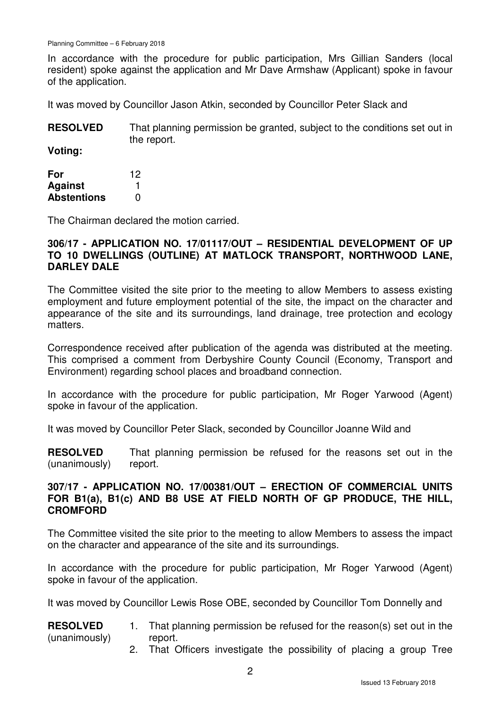In accordance with the procedure for public participation, Mrs Gillian Sanders (local resident) spoke against the application and Mr Dave Armshaw (Applicant) spoke in favour of the application.

It was moved by Councillor Jason Atkin, seconded by Councillor Peter Slack and

**RESOLVED** That planning permission be granted, subject to the conditions set out in the report.

**Voting:** 

| For                | 12 |
|--------------------|----|
| <b>Against</b>     |    |
| <b>Abstentions</b> | O  |

The Chairman declared the motion carried.

## **306/17 - APPLICATION NO. 17/01117/OUT – RESIDENTIAL DEVELOPMENT OF UP TO 10 DWELLINGS (OUTLINE) AT MATLOCK TRANSPORT, NORTHWOOD LANE, DARLEY DALE**

The Committee visited the site prior to the meeting to allow Members to assess existing employment and future employment potential of the site, the impact on the character and appearance of the site and its surroundings, land drainage, tree protection and ecology matters.

Correspondence received after publication of the agenda was distributed at the meeting. This comprised a comment from Derbyshire County Council (Economy, Transport and Environment) regarding school places and broadband connection.

In accordance with the procedure for public participation, Mr Roger Yarwood (Agent) spoke in favour of the application.

It was moved by Councillor Peter Slack, seconded by Councillor Joanne Wild and

**RESOLVED** (unanimously) That planning permission be refused for the reasons set out in the report.

## **307/17 - APPLICATION NO. 17/00381/OUT – ERECTION OF COMMERCIAL UNITS FOR B1(a), B1(c) AND B8 USE AT FIELD NORTH OF GP PRODUCE, THE HILL, CROMFORD**

The Committee visited the site prior to the meeting to allow Members to assess the impact on the character and appearance of the site and its surroundings.

In accordance with the procedure for public participation, Mr Roger Yarwood (Agent) spoke in favour of the application.

It was moved by Councillor Lewis Rose OBE, seconded by Councillor Tom Donnelly and

#### **RESOLVED** (unanimously) 1. That planning permission be refused for the reason(s) set out in the report.

2. That Officers investigate the possibility of placing a group Tree